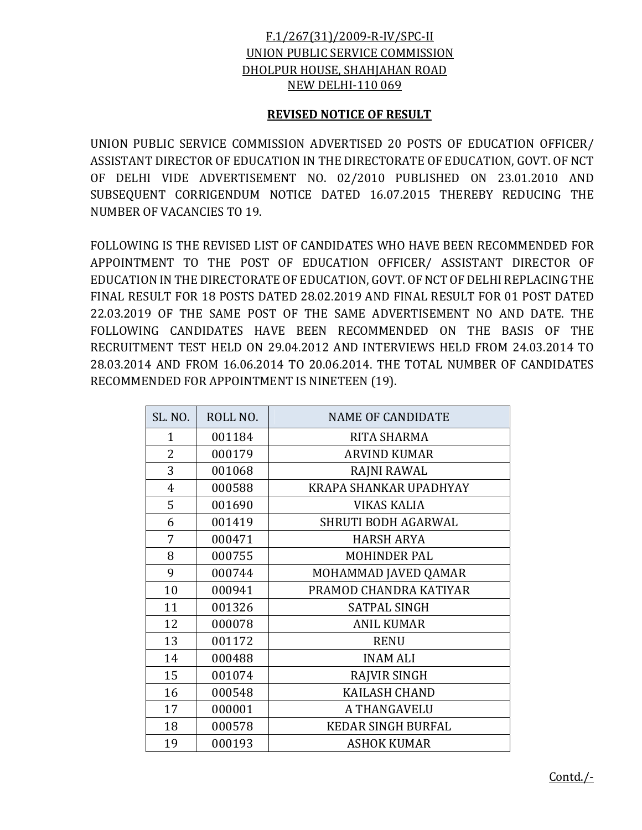## F.1/267(31)/2009-R-IV/SPC-II UNION PUBLIC SERVICE COMMISSION DHOLPUR HOUSE, SHAHJAHAN ROAD NEW DELHI-110 069

## **REVISED NOTICE OF RESULT**

UNION PUBLIC SERVICE COMMISSION ADVERTISED 20 POSTS OF EDUCATION OFFICER/ ASSISTANT DIRECTOR OF EDUCATION IN THE DIRECTORATE OF EDUCATION, GOVT. OF NCT OF DELHI VIDE ADVERTISEMENT NO. 02/2010 PUBLISHED ON 23.01.2010 AND SUBSEQUENT CORRIGENDUM NOTICE DATED 16.07.2015 THEREBY REDUCING THE NUMBER OF VACANCIES TO 19.

FOLLOWING IS THE REVISED LIST OF CANDIDATES WHO HAVE BEEN RECOMMENDED FOR APPOINTMENT TO THE POST OF EDUCATION OFFICER/ ASSISTANT DIRECTOR OF EDUCATION IN THE DIRECTORATE OF EDUCATION, GOVT. OF NCT OF DELHI REPLACING THE FINAL RESULT FOR 18 POSTS DATED 28.02.2019 AND FINAL RESULT FOR 01 POST DATED 22.03.2019 OF THE SAME POST OF THE SAME ADVERTISEMENT NO AND DATE. THE FOLLOWING CANDIDATES HAVE BEEN RECOMMENDED ON THE BASIS OF THE RECRUITMENT TEST HELD ON 29.04.2012 AND INTERVIEWS HELD FROM 24.03.2014 TO 28.03.2014 AND FROM 16.06.2014 TO 20.06.2014. THE TOTAL NUMBER OF CANDIDATES RECOMMENDED FOR APPOINTMENT IS NINETEEN (19).

| <b>SL. NO.</b> | ROLL NO. | <b>NAME OF CANDIDATE</b>  |
|----------------|----------|---------------------------|
| $\mathbf{1}$   | 001184   | RITA SHARMA               |
| $\overline{2}$ | 000179   | <b>ARVIND KUMAR</b>       |
| 3              | 001068   | RAJNI RAWAL               |
| $\overline{4}$ | 000588   | KRAPA SHANKAR UPADHYAY    |
| 5              | 001690   | <b>VIKAS KALIA</b>        |
| 6              | 001419   | SHRUTI BODH AGARWAL       |
| 7              | 000471   | <b>HARSH ARYA</b>         |
| 8              | 000755   | <b>MOHINDER PAL</b>       |
| 9              | 000744   | MOHAMMAD JAVED QAMAR      |
| 10             | 000941   | PRAMOD CHANDRA KATIYAR    |
| 11             | 001326   | <b>SATPAL SINGH</b>       |
| 12             | 000078   | <b>ANIL KUMAR</b>         |
| 13             | 001172   | <b>RENU</b>               |
| 14             | 000488   | <b>INAM ALI</b>           |
| 15             | 001074   | <b>RAJVIR SINGH</b>       |
| 16             | 000548   | <b>KAILASH CHAND</b>      |
| 17             | 000001   | A THANGAVELU              |
| 18             | 000578   | <b>KEDAR SINGH BURFAL</b> |
| 19             | 000193   | <b>ASHOK KUMAR</b>        |